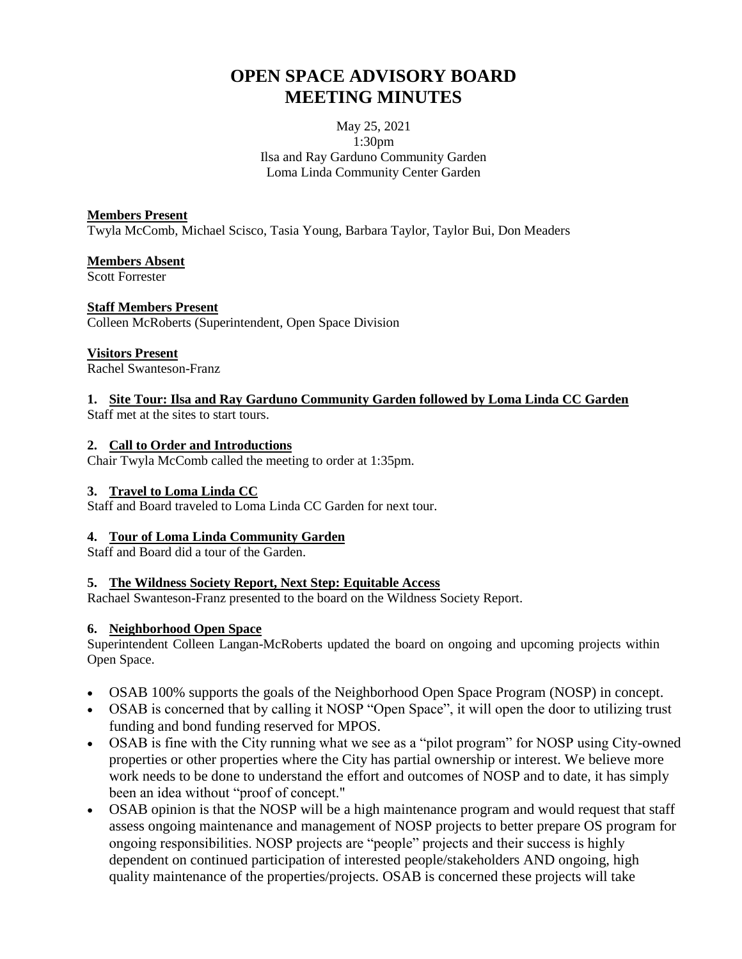# **OPEN SPACE ADVISORY BOARD MEETING MINUTES**

May 25, 2021 1:30pm Ilsa and Ray Garduno Community Garden Loma Linda Community Center Garden

## **Members Present**

Twyla McComb, Michael Scisco, Tasia Young, Barbara Taylor, Taylor Bui, Don Meaders

## **Members Absent**

Scott Forrester

## **Staff Members Present**

Colleen McRoberts (Superintendent, Open Space Division

## **Visitors Present**

Rachel Swanteson-Franz

# **1. Site Tour: Ilsa and Ray Garduno Community Garden followed by Loma Linda CC Garden**

Staff met at the sites to start tours.

## **2. Call to Order and Introductions**

Chair Twyla McComb called the meeting to order at 1:35pm.

#### **3. Travel to Loma Linda CC**

Staff and Board traveled to Loma Linda CC Garden for next tour.

# **4. Tour of Loma Linda Community Garden**

Staff and Board did a tour of the Garden.

# **5. The Wildness Society Report, Next Step: Equitable Access**

Rachael Swanteson-Franz presented to the board on the Wildness Society Report.

#### **6. Neighborhood Open Space**

Superintendent Colleen Langan-McRoberts updated the board on ongoing and upcoming projects within Open Space.

- OSAB 100% supports the goals of the Neighborhood Open Space Program (NOSP) in concept.
- OSAB is concerned that by calling it NOSP "Open Space", it will open the door to utilizing trust funding and bond funding reserved for MPOS.
- OSAB is fine with the City running what we see as a "pilot program" for NOSP using City-owned properties or other properties where the City has partial ownership or interest. We believe more work needs to be done to understand the effort and outcomes of NOSP and to date, it has simply been an idea without "proof of concept."
- OSAB opinion is that the NOSP will be a high maintenance program and would request that staff assess ongoing maintenance and management of NOSP projects to better prepare OS program for ongoing responsibilities. NOSP projects are "people" projects and their success is highly dependent on continued participation of interested people/stakeholders AND ongoing, high quality maintenance of the properties/projects. OSAB is concerned these projects will take